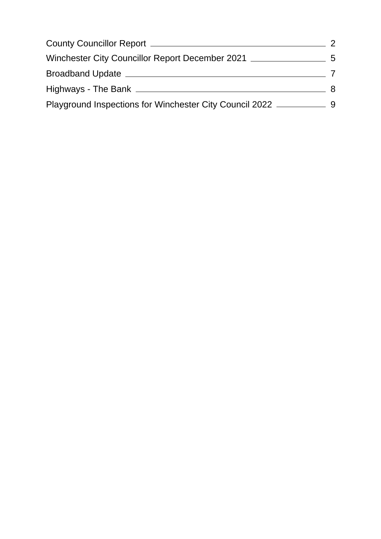| County Councillor Report ______                         |                |
|---------------------------------------------------------|----------------|
| Winchester City Councillor Report December 2021         | $\overline{5}$ |
| Broadband Update __                                     |                |
| Highways - The Bank _                                   |                |
| Playground Inspections for Winchester City Council 2022 |                |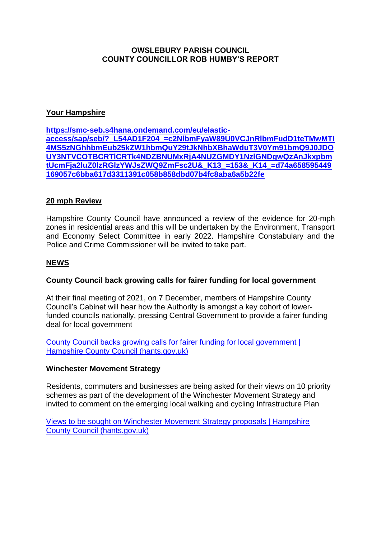#### <span id="page-1-0"></span>**OWSLEBURY PARISH COUNCIL COUNTY COUNCILLOR ROB HUMBY'S REPORT**

# **Your Hampshire**

**[https://smc-seb.s4hana.ondemand.com/eu/elastic](https://smc-seb.s4hana.ondemand.com/eu/elastic-access/sap/seb/?_L54AD1F204_=c2NlbmFyaW89U0VCJnRlbmFudD1teTMwMTI4MS5zNGhhbmEub25kZW1hbmQuY29tJkNhbXBhaWduT3V0Ym91bmQ9J0JDOUY3NTVCOTBCRTlCRTk4NDZBNUMxRjA4NUZGMDY1NzlGNDgwQzAnJkxpbmtUcmFja2luZ0lzRGlzYWJsZWQ9ZmFsc2U&_K13_=153&_K14_=d74a658595449169057c6bba617d3311391c058b858dbd07b4fc8aba6a5b22fe)[access/sap/seb/?\\_L54AD1F204\\_=c2NlbmFyaW89U0VCJnRlbmFudD1teTMwMTI](https://smc-seb.s4hana.ondemand.com/eu/elastic-access/sap/seb/?_L54AD1F204_=c2NlbmFyaW89U0VCJnRlbmFudD1teTMwMTI4MS5zNGhhbmEub25kZW1hbmQuY29tJkNhbXBhaWduT3V0Ym91bmQ9J0JDOUY3NTVCOTBCRTlCRTk4NDZBNUMxRjA4NUZGMDY1NzlGNDgwQzAnJkxpbmtUcmFja2luZ0lzRGlzYWJsZWQ9ZmFsc2U&_K13_=153&_K14_=d74a658595449169057c6bba617d3311391c058b858dbd07b4fc8aba6a5b22fe) [4MS5zNGhhbmEub25kZW1hbmQuY29tJkNhbXBhaWduT3V0Ym91bmQ9J0JDO](https://smc-seb.s4hana.ondemand.com/eu/elastic-access/sap/seb/?_L54AD1F204_=c2NlbmFyaW89U0VCJnRlbmFudD1teTMwMTI4MS5zNGhhbmEub25kZW1hbmQuY29tJkNhbXBhaWduT3V0Ym91bmQ9J0JDOUY3NTVCOTBCRTlCRTk4NDZBNUMxRjA4NUZGMDY1NzlGNDgwQzAnJkxpbmtUcmFja2luZ0lzRGlzYWJsZWQ9ZmFsc2U&_K13_=153&_K14_=d74a658595449169057c6bba617d3311391c058b858dbd07b4fc8aba6a5b22fe) [UY3NTVCOTBCRTlCRTk4NDZBNUMxRjA4NUZGMDY1NzlGNDgwQzAnJkxpbm](https://smc-seb.s4hana.ondemand.com/eu/elastic-access/sap/seb/?_L54AD1F204_=c2NlbmFyaW89U0VCJnRlbmFudD1teTMwMTI4MS5zNGhhbmEub25kZW1hbmQuY29tJkNhbXBhaWduT3V0Ym91bmQ9J0JDOUY3NTVCOTBCRTlCRTk4NDZBNUMxRjA4NUZGMDY1NzlGNDgwQzAnJkxpbmtUcmFja2luZ0lzRGlzYWJsZWQ9ZmFsc2U&_K13_=153&_K14_=d74a658595449169057c6bba617d3311391c058b858dbd07b4fc8aba6a5b22fe) [tUcmFja2luZ0lzRGlzYWJsZWQ9ZmFsc2U&\\_K13\\_=153&\\_K14\\_=d74a658595449](https://smc-seb.s4hana.ondemand.com/eu/elastic-access/sap/seb/?_L54AD1F204_=c2NlbmFyaW89U0VCJnRlbmFudD1teTMwMTI4MS5zNGhhbmEub25kZW1hbmQuY29tJkNhbXBhaWduT3V0Ym91bmQ9J0JDOUY3NTVCOTBCRTlCRTk4NDZBNUMxRjA4NUZGMDY1NzlGNDgwQzAnJkxpbmtUcmFja2luZ0lzRGlzYWJsZWQ9ZmFsc2U&_K13_=153&_K14_=d74a658595449169057c6bba617d3311391c058b858dbd07b4fc8aba6a5b22fe) [169057c6bba617d3311391c058b858dbd07b4fc8aba6a5b22fe](https://smc-seb.s4hana.ondemand.com/eu/elastic-access/sap/seb/?_L54AD1F204_=c2NlbmFyaW89U0VCJnRlbmFudD1teTMwMTI4MS5zNGhhbmEub25kZW1hbmQuY29tJkNhbXBhaWduT3V0Ym91bmQ9J0JDOUY3NTVCOTBCRTlCRTk4NDZBNUMxRjA4NUZGMDY1NzlGNDgwQzAnJkxpbmtUcmFja2luZ0lzRGlzYWJsZWQ9ZmFsc2U&_K13_=153&_K14_=d74a658595449169057c6bba617d3311391c058b858dbd07b4fc8aba6a5b22fe)**

# **20 mph Review**

Hampshire County Council have announced a review of the evidence for 20-mph zones in residential areas and this will be undertaken by the Environment, Transport and Economy Select Committee in early 2022. Hampshire Constabulary and the Police and Crime Commissioner will be invited to take part.

#### **NEWS**

#### **County Council back growing calls for fairer funding for local government**

At their final meeting of 2021, on 7 December, members of Hampshire County Council's Cabinet will hear how the Authority is amongst a key cohort of lowerfunded councils nationally, pressing Central Government to provide a fairer funding deal for local government

[County Council backs growing calls for fairer funding for local government |](https://www.hants.gov.uk/News/20211203fairerfunding)  [Hampshire County Council \(hants.gov.uk\)](https://www.hants.gov.uk/News/20211203fairerfunding)

#### **Winchester Movement Strategy**

Residents, commuters and businesses are being asked for their views on 10 priority schemes as part of the development of the Winchester Movement Strategy and invited to comment on the emerging local walking and cycling Infrastructure Plan

[Views to be sought on Winchester Movement Strategy proposals | Hampshire](https://www.hants.gov.uk/News/19112021WMSupdatePR)  [County Council \(hants.gov.uk\)](https://www.hants.gov.uk/News/19112021WMSupdatePR)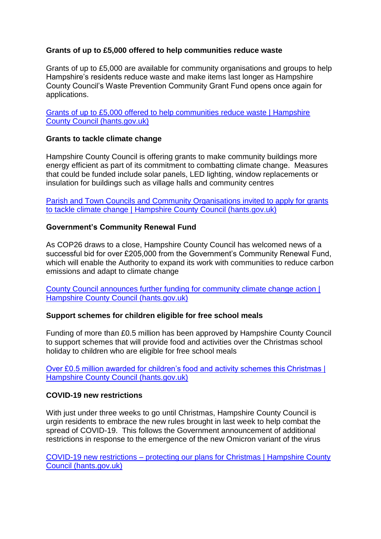# **Grants of up to £5,000 offered to help communities reduce waste**

Grants of up to £5,000 are available for community organisations and groups to help Hampshire's residents reduce waste and make items last longer as Hampshire County Council's Waste Prevention Community Grant Fund opens once again for applications.

[Grants of up to £5,000 offered to help communities reduce waste | Hampshire](https://www.hants.gov.uk/News/20210212wastegrant)  [County Council \(hants.gov.uk\)](https://www.hants.gov.uk/News/20210212wastegrant)

#### **Grants to tackle climate change**

Hampshire County Council is offering grants to make community buildings more energy efficient as part of its commitment to combatting climate change. Measures that could be funded include solar panels, LED lighting, window replacements or insulation for buildings such as village halls and community centres

[Parish and Town Councils and Community Organisations invited to apply for grants](https://www.hants.gov.uk/News/20211028climatechangegrants)  [to tackle climate change | Hampshire County Council \(hants.gov.uk\)](https://www.hants.gov.uk/News/20211028climatechangegrants)

#### **Government's Community Renewal Fund**

As COP26 draws to a close, Hampshire County Council has welcomed news of a successful bid for over £205,000 from the Government's Community Renewal Fund, which will enable the Authority to expand its work with communities to reduce carbon emissions and adapt to climate change

[County Council announces further funding for community climate change action |](https://www.hants.gov.uk/News/20211112communityrenewalfund)  [Hampshire County Council \(hants.gov.uk\)](https://www.hants.gov.uk/News/20211112communityrenewalfund)

#### **Support schemes for children eligible for free school meals**

Funding of more than £0.5 million has been approved by Hampshire County Council to support schemes that will provide food and activities over the Christmas school holiday to children who are eligible for free school meals

[Over £0.5 million awarded for children's food and activity schemes this Christmas |](https://www.hants.gov.uk/News/111121HAFchristmasgrants)  [Hampshire County Council \(hants.gov.uk\)](https://www.hants.gov.uk/News/111121HAFchristmasgrants)

#### **COVID-19 new restrictions**

With just under three weeks to go until Christmas, Hampshire County Council is urgin residents to embrace the new rules brought in last week to help combat the spread of COVID-19. This follows the Government announcement of additional restrictions in response to the emergence of the new Omicron variant of the virus

COVID-19 new restrictions – [protecting our plans for Christmas | Hampshire County](https://www.hants.gov.uk/News/20211203covidrestrictions)  [Council \(hants.gov.uk\)](https://www.hants.gov.uk/News/20211203covidrestrictions)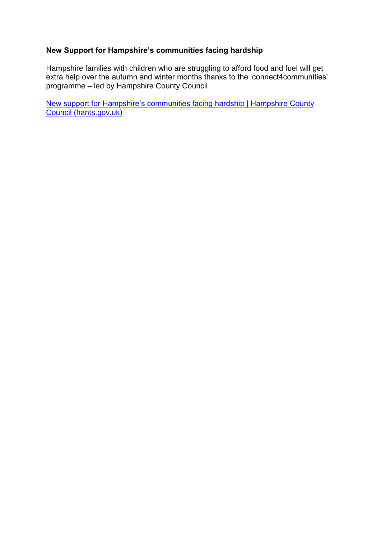# **New Support for Hampshire's communities facing hardship**

Hampshire families with children who are struggling to afford food and fuel will get extra help over the autumn and winter months thanks to the 'connect4communities' programme – led by Hampshire County Council

[New support for Hampshire's communities facing hardship | Hampshire County](https://www.hants.gov.uk/News/211126householdsupportfund)  [Council \(hants.gov.uk\)](https://www.hants.gov.uk/News/211126householdsupportfund)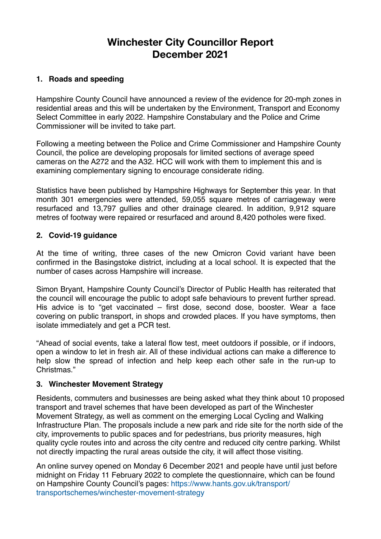# **Winchester City Councillor Report December 2021**

# <span id="page-4-0"></span>**1. Roads and speeding**

Hampshire County Council have announced a review of the evidence for 20-mph zones in residential areas and this will be undertaken by the Environment, Transport and Economy Select Committee in early 2022. Hampshire Constabulary and the Police and Crime Commissioner will be invited to take part.

Following a meeting between the Police and Crime Commissioner and Hampshire County Council, the police are developing proposals for limited sections of average speed cameras on the A272 and the A32. HCC will work with them to implement this and is examining complementary signing to encourage considerate riding.

Statistics have been published by Hampshire Highways for September this year. In that month 301 emergencies were attended, 59,055 square metres of carriageway were resurfaced and 13,797 gullies and other drainage cleared. In addition, 9,912 square metres of footway were repaired or resurfaced and around 8,420 potholes were fixed.

#### **2. Covid-19 guidance**

At the time of writing, three cases of the new Omicron Covid variant have been confirmed in the Basingstoke district, including at a local school. It is expected that the number of cases across Hampshire will increase.

Simon Bryant, Hampshire County Council's Director of Public Health has reiterated that the council will encourage the public to adopt safe behaviours to prevent further spread. His advice is to "get vaccinated – first dose, second dose, booster. Wear a face covering on public transport, in shops and crowded places. If you have symptoms, then isolate immediately and get a PCR test.

"Ahead of social events, take a lateral flow test, meet outdoors if possible, or if indoors, open a window to let in fresh air. All of these individual actions can make a difference to help slow the spread of infection and help keep each other safe in the run-up to Christmas."

#### **3. Winchester Movement Strategy**

Residents, commuters and businesses are being asked what they think about 10 proposed transport and travel schemes that have been developed as part of the Winchester Movement Strategy, as well as comment on the emerging Local Cycling and Walking Infrastructure Plan. The proposals include a new park and ride site for the north side of the city, improvements to public spaces and for pedestrians, bus priority measures, high quality cycle routes into and across the city centre and reduced city centre parking. Whilst not directly impacting the rural areas outside the city, it will affect those visiting.

An online survey opened on Monday 6 December 2021 and people have until just before midnight on Friday 11 February 2022 to complete the questionnaire, which can be found [on Hampshire County Council's pages: https://www.hants.gov.uk/transport/](https://www.hants.gov.uk/transport/transportschemes/winchester-movement-strategy) [transportschemes/winchester-movement-strategy](https://www.hants.gov.uk/transport/transportschemes/winchester-movement-strategy)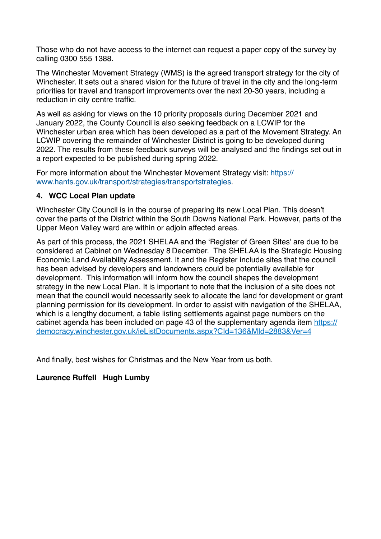Those who do not have access to the internet can request a paper copy of the survey by calling 0300 555 1388.

The Winchester Movement Strategy (WMS) is the agreed transport strategy for the city of Winchester. It sets out a shared vision for the future of travel in the city and the long-term priorities for travel and transport improvements over the next 20-30 years, including a reduction in city centre traffic.

As well as asking for views on the 10 priority proposals during December 2021 and January 2022, the County Council is also seeking feedback on a LCWIP for the Winchester urban area which has been developed as a part of the Movement Strategy. An LCWIP covering the remainder of Winchester District is going to be developed during 2022. The results from these feedback surveys will be analysed and the findings set out in a report expected to be published during spring 2022.

For more information about the Winchester Movement Strategy visit: [https://](https://www.hants.gov.uk/transport/strategies/transportstrategies) [www.hants.gov.uk/transport/strategies/transportstrategies](https://www.hants.gov.uk/transport/strategies/transportstrategies).

# **4. WCC Local Plan update**

Winchester City Council is in the course of preparing its new Local Plan. This doesn't cover the parts of the District within the South Downs National Park. However, parts of the Upper Meon Valley ward are within or adjoin affected areas.

As part of this process, the 2021 SHELAA and the 'Register of Green Sites' are due to be considered at Cabinet on Wednesday 8 December. The SHELAA is the Strategic Housing Economic Land Availability Assessment. It and the Register include sites that the council has been advised by developers and landowners could be potentially available for development. This information will inform how the council shapes the development strategy in the new Local Plan. It is important to note that the inclusion of a site does not mean that the council would necessarily seek to allocate the land for development or grant planning permission for its development. In order to assist with navigation of the SHELAA, which is a lengthy document, a table listing settlements against page numbers on the cabinet agenda has been included on page 43 of the supplementary agenda item [https://](https://democracy.winchester.gov.uk/ieListDocuments.aspx?CId=136&MId=2883&Ver=4) [democracy.winchester.gov.uk/ieListDocuments.aspx?CId=136&MId=2883&Ver=4](https://democracy.winchester.gov.uk/ieListDocuments.aspx?CId=136&MId=2883&Ver=4)

And finally, best wishes for Christmas and the New Year from us both.

# **Laurence Ruffell Hugh Lumby**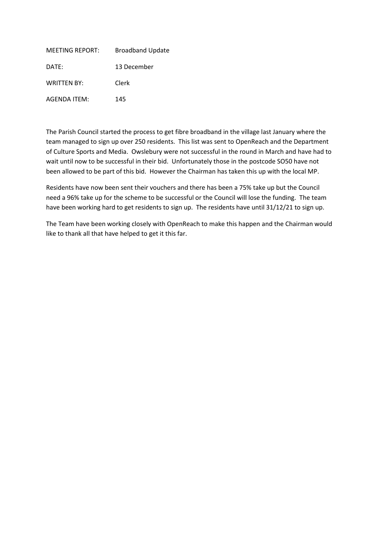<span id="page-6-0"></span>

| <b>MEETING REPORT:</b> | <b>Broadband Update</b> |
|------------------------|-------------------------|
| DATE:                  | 13 December             |
| <b>WRITTEN BY:</b>     | Clerk                   |
| <b>AGENDA ITEM:</b>    | 145                     |

The Parish Council started the process to get fibre broadband in the village last January where the team managed to sign up over 250 residents. This list was sent to OpenReach and the Department of Culture Sports and Media. Owslebury were not successful in the round in March and have had to wait until now to be successful in their bid. Unfortunately those in the postcode SO50 have not been allowed to be part of this bid. However the Chairman has taken this up with the local MP.

Residents have now been sent their vouchers and there has been a 75% take up but the Council need a 96% take up for the scheme to be successful or the Council will lose the funding. The team have been working hard to get residents to sign up. The residents have until 31/12/21 to sign up.

The Team have been working closely with OpenReach to make this happen and the Chairman would like to thank all that have helped to get it this far.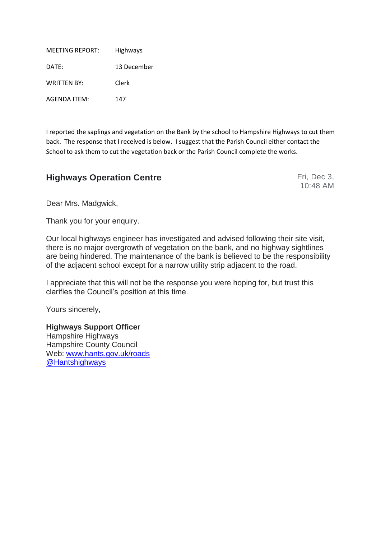<span id="page-7-0"></span>

| <b>MEETING REPORT:</b> | <b>Highways</b> |
|------------------------|-----------------|
| DATE:                  | 13 December     |
| <b>WRITTEN BY:</b>     | Clerk           |
| <b>AGENDA ITEM:</b>    | 147             |

I reported the saplings and vegetation on the Bank by the school to Hampshire Highways to cut them back. The response that I received is below. I suggest that the Parish Council either contact the School to ask them to cut the vegetation back or the Parish Council complete the works.

# **Highways Operation Centre** Fri, Dec 3,

10:48 AM

Dear Mrs. Madgwick,

Thank you for your enquiry.

Our local highways engineer has investigated and advised following their site visit, there is no major overgrowth of vegetation on the bank, and no highway sightlines are being hindered. The maintenance of the bank is believed to be the responsibility of the adjacent school except for a narrow utility strip adjacent to the road.

I appreciate that this will not be the response you were hoping for, but trust this clarifies the Council's position at this time.

Yours sincerely,

**Highways Support Officer** Hampshire Highways Hampshire County Council Web: [www.hants.gov.uk/roads](http://www.hants.gov.uk/roads) [@Hantshighways](https://twitter.com/hantshighways)